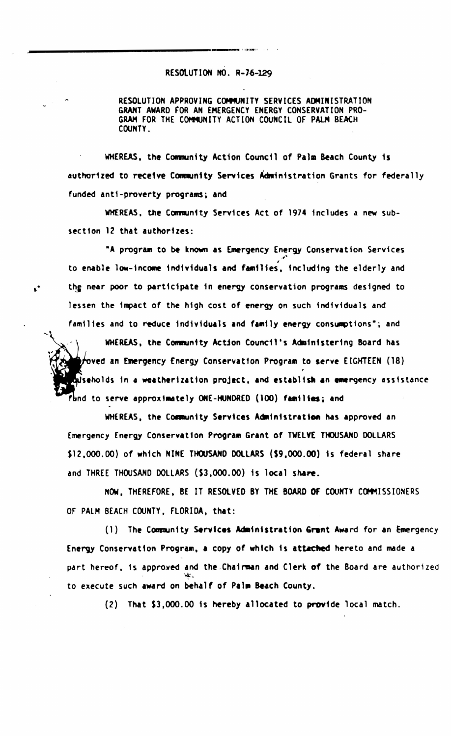## RESOLUTION NO. R-76-129

RESOLUTION APPROVING COMMUNITY SERVICES ADMINISTRATION GRANT AWARD FOR AN EMERGENCY ENERGY CONSERVATION PRO-GRAM FOR THE COMMUNITY ACTION COUNCIL OF PALM BEACH COUNTY.

WHEREAS, the Community Action Council of Palm Beach County is authorized to receive Community Services Administration Grants for federally funded anti-proverty programs; and

WHEREAS, the Community Services Act of 1974 includes a new subsection 12 that authorizes:

"A program to be known as Emergency Energy Conservation Services to enable low-income individuals and families, including the elderly and the near poor to participate in energy conservation programs designed to lessen the impact of the high cost of energy on such individuals and families and to reduce individuals and family energy consumptions"; and

 $\mathbf{r}^*$ 

WHEREAS, the Community Action Council's Administering Board has foved an Emergency Energy Conservation Program to serve EIGHTEEN (18) piseholds in a weatherization project, and establish an emergency assistance und to serve approximately ONE-HUNDRED (100) families; and

WHEREAS, the Community Services Administration has approved an Emergency Energy Conservation Program Grant of TWELVE THOUSAND DOLLARS \$12,000.00) of which NINE THOUSAND DOLLARS (\$9,000.00) is federal share and THREE THOUSAND DOLLARS (\$3,000.00) is local share.

NOW, THEREFORE, BE IT RESOLVED BY THE BOARD OF COUNTY COMMISSIONERS OF PALM BEACH COUNTY, FLORIDA, that:

(1) The Community Services Administration Grant Award for an Emergency Energy Conservation Program, a copy of which is attached hereto and made a part hereof, is approved and the Chairman and Clerk of the Board are authorized to execute such award on behalf of Palm Beach County.

(2) That \$3,000.00 is hereby allocated to provide local match.